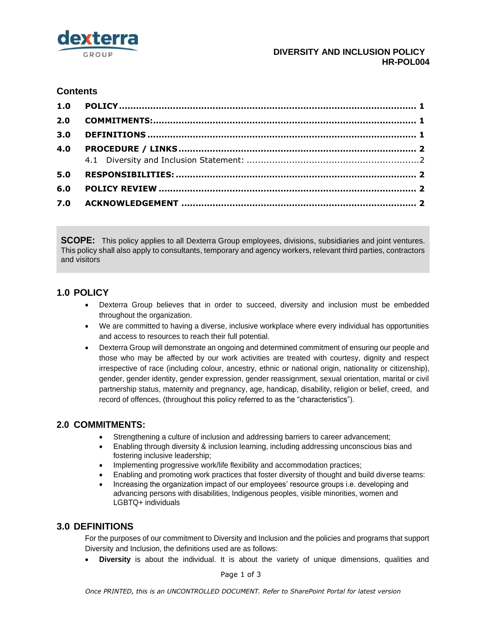

### **DIVERSITY AND INCLUSION POLICY HR-POL004**

# **Contents**

| 2.0 |  |
|-----|--|
| 3.0 |  |
| 4.0 |  |
|     |  |
| 5.0 |  |
| 6.0 |  |
| 7.0 |  |

**SCOPE:** This policy applies to all Dexterra Group employees, divisions, subsidiaries and joint ventures. This policy shall also apply to consultants, temporary and agency workers, relevant third parties, contractors and visitors

## <span id="page-0-0"></span>**1.0 POLICY**

- Dexterra Group believes that in order to succeed, diversity and inclusion must be embedded throughout the organization.
- We are committed to having a diverse, inclusive workplace where every individual has opportunities and access to resources to reach their full potential.
- Dexterra Group will demonstrate an ongoing and determined commitment of ensuring our people and those who may be affected by our work activities are treated with courtesy, dignity and respect irrespective of race (including colour, ancestry, ethnic or national origin, nationality or citizenship), gender, gender identity, gender expression, gender reassignment, sexual orientation, marital or civil partnership status, maternity and pregnancy, age, handicap, disability, religion or belief, creed, and record of offences, (throughout this policy referred to as the "characteristics").

# <span id="page-0-1"></span>**2.0 COMMITMENTS:**

- Strengthening a culture of inclusion and addressing barriers to career advancement;
- Enabling through diversity & inclusion learning, including addressing unconscious bias and fostering inclusive leadership;
- Implementing progressive work/life flexibility and accommodation practices:
- Enabling and promoting work practices that foster diversity of thought and build diverse teams:
- Increasing the organization impact of our employees' resource groups i.e. developing and advancing persons with disabilities, Indigenous peoples, visible minorities, women and LGBTQ+ individuals

# <span id="page-0-2"></span>**3.0 DEFINITIONS**

For the purposes of our commitment to Diversity and Inclusion and the policies and programs that support Diversity and Inclusion, the definitions used are as follows:

**Diversity** is about the individual. It is about the variety of unique dimensions, qualities and

Page 1 of 3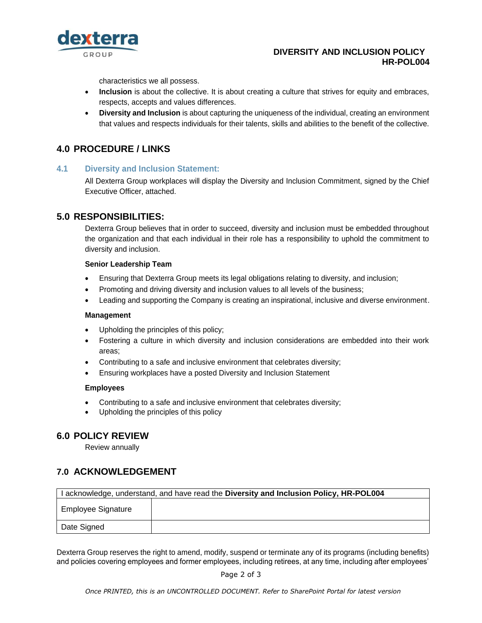

### **DIVERSITY AND INCLUSION POLICY HR-POL004**

characteristics we all possess.

- **Inclusion** is about the collective. It is about creating a culture that strives for equity and embraces, respects, accepts and values differences.
- **Diversity and Inclusion** is about capturing the uniqueness of the individual, creating an environment that values and respects individuals for their talents, skills and abilities to the benefit of the collective.

## <span id="page-1-0"></span>**4.0 PROCEDURE / LINKS**

#### <span id="page-1-1"></span>**4.1 Diversity and Inclusion Statement:**

All Dexterra Group workplaces will display the Diversity and Inclusion Commitment, signed by the Chief Executive Officer, attached.

### <span id="page-1-2"></span>**5.0 RESPONSIBILITIES:**

Dexterra Group believes that in order to succeed, diversity and inclusion must be embedded throughout the organization and that each individual in their role has a responsibility to uphold the commitment to diversity and inclusion.

#### **Senior Leadership Team**

- Ensuring that Dexterra Group meets its legal obligations relating to diversity, and inclusion;
- Promoting and driving diversity and inclusion values to all levels of the business;
- Leading and supporting the Company is creating an inspirational, inclusive and diverse environment.

#### **Management**

- Upholding the principles of this policy;
- Fostering a culture in which diversity and inclusion considerations are embedded into their work areas;
- Contributing to a safe and inclusive environment that celebrates diversity;
- Ensuring workplaces have a posted Diversity and Inclusion Statement

#### **Employees**

- Contributing to a safe and inclusive environment that celebrates diversity;
- Upholding the principles of this policy

## <span id="page-1-3"></span>**6.0 POLICY REVIEW**

Review annually

## <span id="page-1-4"></span>**7.0 ACKNOWLEDGEMENT**

| I acknowledge, understand, and have read the Diversity and Inclusion Policy, HR-POL004 |  |  |  |
|----------------------------------------------------------------------------------------|--|--|--|
| <b>Employee Signature</b>                                                              |  |  |  |
| Date Signed                                                                            |  |  |  |

Dexterra Group reserves the right to amend, modify, suspend or terminate any of its programs (including benefits) and policies covering employees and former employees, including retirees, at any time, including after employees'